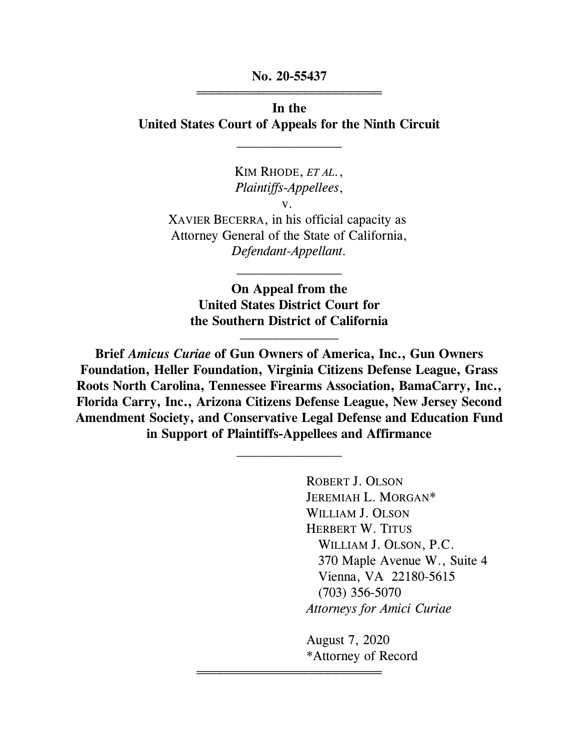**No. 20-55437** 444444444444444444444444

**In the United States Court of Appeals for the Ninth Circuit**

 $\frac{1}{2}$ 

KIM RHODE, *ET AL.*, *Plaintiffs-Appellees*, v. XAVIER BECERRA, in his official capacity as Attorney General of the State of California, *Defendant-Appellant.*

**On Appeal from the United States District Court for the Southern District of California**  $\overline{\phantom{a}}$  , where  $\overline{\phantom{a}}$ 

 $\overline{\phantom{a}}$  , where  $\overline{\phantom{a}}$ 

**Brief** *Amicus Curiae* **of Gun Owners of America, Inc., Gun Owners Foundation, Heller Foundation, Virginia Citizens Defense League, Grass Roots North Carolina, Tennessee Firearms Association, BamaCarry, Inc., Florida Carry, Inc., Arizona Citizens Defense League, New Jersey Second Amendment Society, and Conservative Legal Defense and Education Fund in Support of Plaintiffs-Appellees and Affirmance**

 $\frac{1}{2}$ 

444444444444444444444444

ROBERT J. OLSON JEREMIAH L. MORGAN\* WILLIAM J. OLSON HERBERT W. TITUS WILLIAM J. OLSON, P.C. 370 Maple Avenue W., Suite 4 Vienna, VA 22180-5615 (703) 356-5070 *Attorneys for Amici Curiae*

August 7, 2020 \*Attorney of Record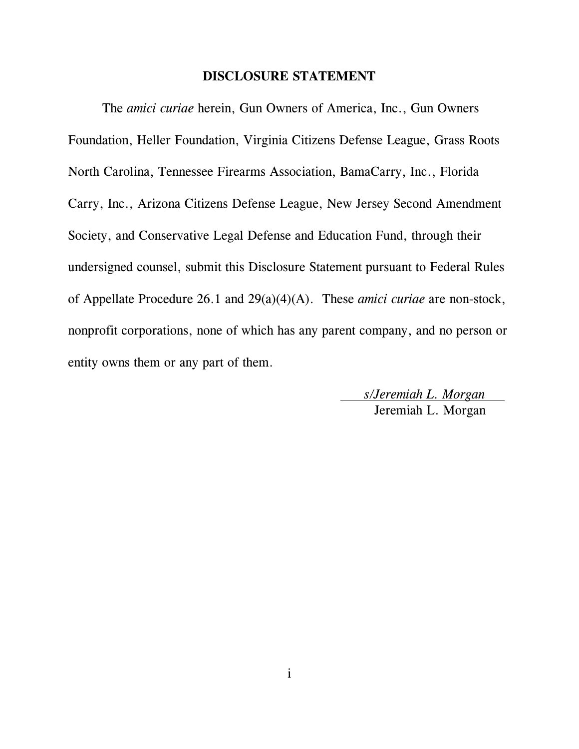#### **DISCLOSURE STATEMENT**

The *amici curiae* herein, Gun Owners of America, Inc., Gun Owners Foundation, Heller Foundation, Virginia Citizens Defense League, Grass Roots North Carolina, Tennessee Firearms Association, BamaCarry, Inc., Florida Carry, Inc., Arizona Citizens Defense League, New Jersey Second Amendment Society, and Conservative Legal Defense and Education Fund, through their undersigned counsel, submit this Disclosure Statement pursuant to Federal Rules of Appellate Procedure 26.1 and 29(a)(4)(A). These *amici curiae* are non-stock, nonprofit corporations, none of which has any parent company, and no person or entity owns them or any part of them.

> *s/Jeremiah L. Morgan*  Jeremiah L. Morgan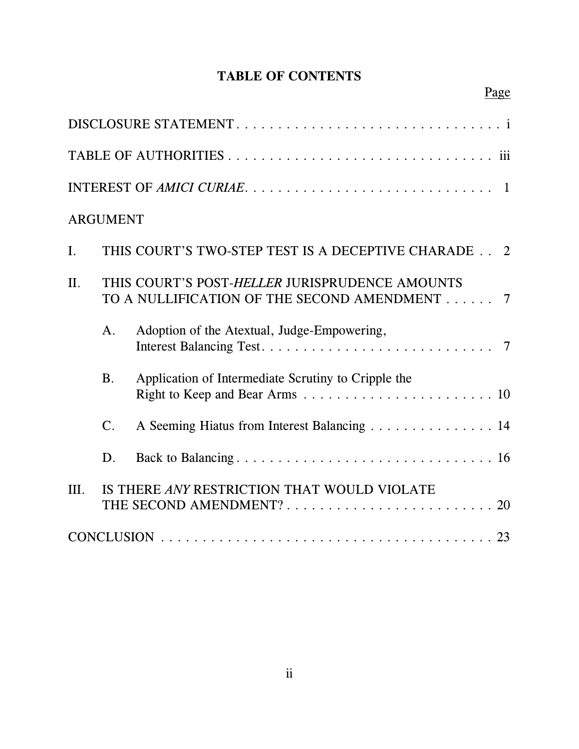# **TABLE OF CONTENTS**

|                | <b>ARGUMENT</b>                                                                                |                                                     |  |  |  |  |  |
|----------------|------------------------------------------------------------------------------------------------|-----------------------------------------------------|--|--|--|--|--|
| $\mathbf{I}$ . | THIS COURT'S TWO-STEP TEST IS A DECEPTIVE CHARADE 2                                            |                                                     |  |  |  |  |  |
| II.            | THIS COURT'S POST-HELLER JURISPRUDENCE AMOUNTS<br>TO A NULLIFICATION OF THE SECOND AMENDMENT 7 |                                                     |  |  |  |  |  |
|                | A.                                                                                             | Adoption of the Atextual, Judge-Empowering,         |  |  |  |  |  |
|                | <b>B.</b>                                                                                      | Application of Intermediate Scrutiny to Cripple the |  |  |  |  |  |
|                | $\mathsf{C}.$                                                                                  | A Seeming Hiatus from Interest Balancing 14         |  |  |  |  |  |
|                | D.                                                                                             |                                                     |  |  |  |  |  |
| III.           | IS THERE ANY RESTRICTION THAT WOULD VIOLATE                                                    |                                                     |  |  |  |  |  |
|                |                                                                                                |                                                     |  |  |  |  |  |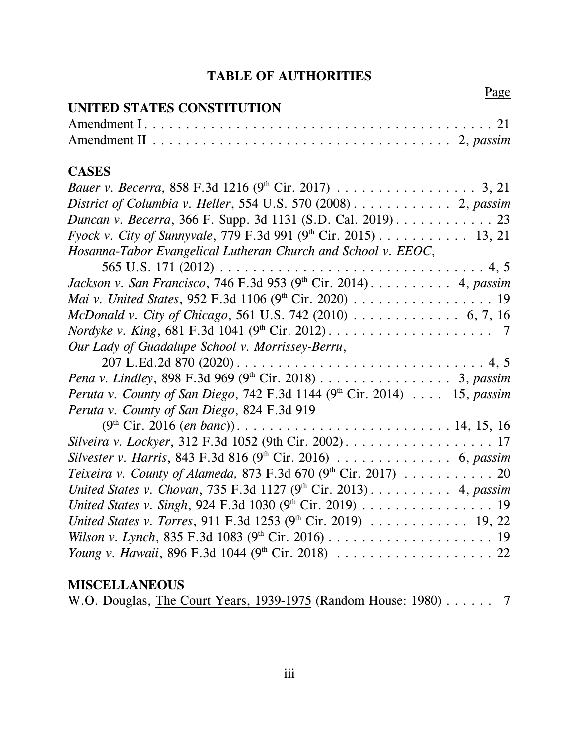# **TABLE OF AUTHORITIES**

| Page                                                                                                                  |
|-----------------------------------------------------------------------------------------------------------------------|
| UNITED STATES CONSTITUTION                                                                                            |
|                                                                                                                       |
|                                                                                                                       |
| <b>CASES</b>                                                                                                          |
| <i>Bauer v. Becerra</i> , 858 F.3d 1216 (9 <sup>th</sup> Cir. 2017) 3, 21                                             |
| District of Columbia v. Heller, 554 U.S. 570 (2008) $\ldots \ldots \ldots$ 2, passim                                  |
| Duncan v. Becerra, 366 F. Supp. 3d 1131 (S.D. Cal. 2019). 23                                                          |
| <i>Fyock v. City of Sunnyvale, 779 F.3d 991 (9th Cir. 2015)</i> 13, 21                                                |
| Hosanna-Tabor Evangelical Lutheran Church and School v. EEOC,                                                         |
| 565 U.S. 171 (2012) $\ldots \ldots \ldots \ldots \ldots \ldots \ldots \ldots \ldots \ldots \ldots \ldots \ldots 4, 5$ |
| Jackson v. San Francisco, 746 F.3d 953 (9th Cir. 2014). 4, passim                                                     |
| Mai v. United States, 952 F.3d 1106 (9th Cir. 2020) 19                                                                |
| McDonald v. City of Chicago, 561 U.S. 742 (2010) $\ldots \ldots \ldots \ldots$ 6, 7, 16                               |
|                                                                                                                       |
| Our Lady of Guadalupe School v. Morrissey-Berru,                                                                      |
|                                                                                                                       |
| <i>Pena v. Lindley</i> , 898 F.3d 969 (9 <sup>th</sup> Cir. 2018) 3, passim                                           |
| Peruta v. County of San Diego, 742 F.3d 1144 (9th Cir. 2014) 15, passim                                               |
| Peruta v. County of San Diego, 824 F.3d 919                                                                           |
|                                                                                                                       |
|                                                                                                                       |
| Silvester v. Harris, 843 F.3d 816 $(9th$ Cir. 2016) 6, passim                                                         |
| Teixeira v. County of Alameda, 873 F.3d 670 (9th Cir. 2017) 20                                                        |
| United States v. Chovan, 735 F.3d 1127 (9th Cir. 2013) 4, passim                                                      |
| United States v. Singh, 924 F.3d 1030 (9th Cir. 2019) 19                                                              |
| United States v. Torres, 911 F.3d 1253 (9th Cir. 2019) 19, 22                                                         |
|                                                                                                                       |
|                                                                                                                       |

## **MISCELLANEOUS**

|  |  |  | W.O. Douglas, The Court Years, 1939-1975 (Random House: $1980$ ) |  |
|--|--|--|------------------------------------------------------------------|--|
|--|--|--|------------------------------------------------------------------|--|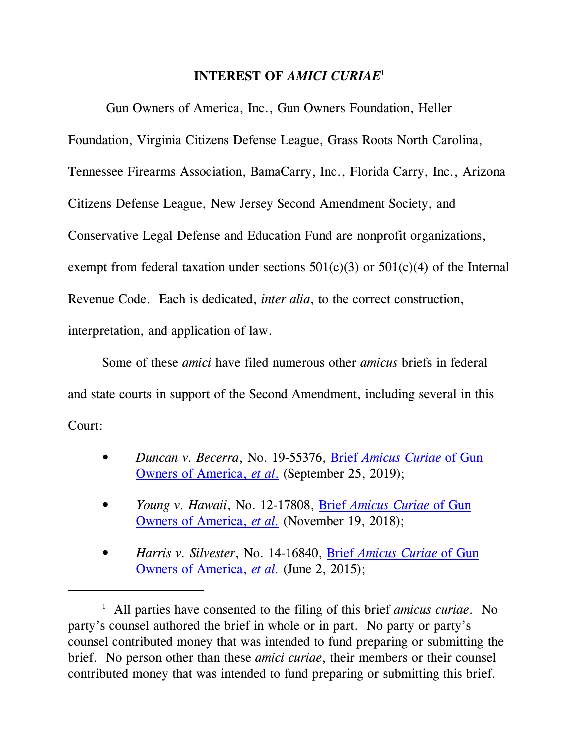### **INTEREST OF** *AMICI CURIAE* 1

Gun Owners of America, Inc., Gun Owners Foundation, Heller Foundation, Virginia Citizens Defense League, Grass Roots North Carolina, Tennessee Firearms Association, BamaCarry, Inc., Florida Carry, Inc., Arizona Citizens Defense League, New Jersey Second Amendment Society, and Conservative Legal Defense and Education Fund are nonprofit organizations, exempt from federal taxation under sections  $501(c)(3)$  or  $501(c)(4)$  of the Internal Revenue Code. Each is dedicated, *inter alia*, to the correct construction, interpretation, and application of law.

Some of these *amici* have filed numerous other *amicus* briefs in federal and state courts in support of the Second Amendment, including several in this Court:

- *Duncan v. Becerra*, No. 19-55376, Brief *[Amicus Curiae](http://lawandfreedom.com/wordpress/wp-content/uploads/2019/09/Duncan-amicus-brief-as-filed.pdf)* of Gun [Owners of America,](http://lawandfreedom.com/wordpress/wp-content/uploads/2019/09/Duncan-amicus-brief-as-filed.pdf) *et al*. (September 25, 2019);
- *Young v. Hawaii*, No. 12-17808, Brief *[Amicus Curiae](http://lawandfreedom.com/wordpress/wp-content/uploads/2018/11/Young-v.-Hawaii-Amicus-Brief-opposing-rehearing.pdf)* of Gun [Owners of America,](http://lawandfreedom.com/wordpress/wp-content/uploads/2018/11/Young-v.-Hawaii-Amicus-Brief-opposing-rehearing.pdf) *et al.* (November 19, 2018);
- *Harris v. Silvester*, No. 14-16840, Brief *[Amicus Curiae](http://www.lawandfreedom.com/site/firearms/Silvester%20GOA%20amicus%20brief.pdf)* of Gun [Owners of America,](http://www.lawandfreedom.com/site/firearms/Silvester%20GOA%20amicus%20brief.pdf) *et al.* (June 2, 2015);

<sup>1</sup> All parties have consented to the filing of this brief *amicus curiae*. No party's counsel authored the brief in whole or in part. No party or party's counsel contributed money that was intended to fund preparing or submitting the brief. No person other than these *amici curiae*, their members or their counsel contributed money that was intended to fund preparing or submitting this brief.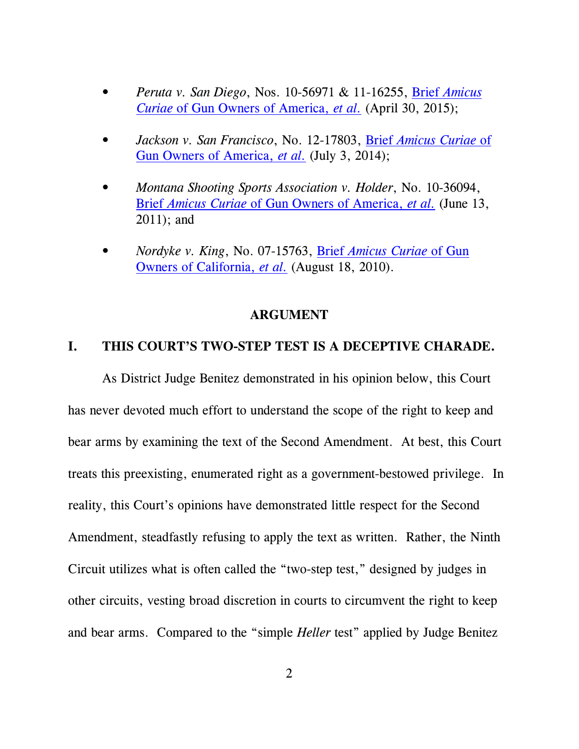- *Peruta v. San Diego*, Nos. 10-56971 & 11-16255, Brief *[Amicus](http://www.lawandfreedom.com/site/firearms/Peruta%20v%20San%20Diego%20GOA%20Amicus%20Brief%20as%20filed.pdf) Curiae* [of Gun Owners of America,](http://www.lawandfreedom.com/site/firearms/Peruta%20v%20San%20Diego%20GOA%20Amicus%20Brief%20as%20filed.pdf) *et al.* (April 30, 2015);
- *Jackson v. San Francisco*, No. 12-17803, Brief *[Amicus Curiae](http://www.lawandfreedom.com/site/firearms/Jackson%20GOA%20amicus%20brief.pdf)* of [Gun Owners of America,](http://www.lawandfreedom.com/site/firearms/Jackson%20GOA%20amicus%20brief.pdf) *et al.* (July 3, 2014);
- *Montana Shooting Sports Association v. Holder*, No. 10-36094, Brief *Amicus Curiae* [of Gun Owners of America,](http://www.lawandfreedom.com/site/firearms/MSSAvHolder__Amicus.pdf) *et al.* (June 13, 2011); and
- *Nordyke v. King*, No. 07-15763, Brief *[Amicus Curiae](http://www.lawandfreedom.com/site/firearms/Nordyke_Amicus.pdf)* of Gun [Owners of California,](http://www.lawandfreedom.com/site/firearms/Nordyke_Amicus.pdf) *et al.* (August 18, 2010).

#### **ARGUMENT**

#### **I. THIS COURT'S TWO-STEP TEST IS A DECEPTIVE CHARADE.**

As District Judge Benitez demonstrated in his opinion below, this Court has never devoted much effort to understand the scope of the right to keep and bear arms by examining the text of the Second Amendment. At best, this Court treats this preexisting, enumerated right as a government-bestowed privilege. In reality, this Court's opinions have demonstrated little respect for the Second Amendment, steadfastly refusing to apply the text as written. Rather, the Ninth Circuit utilizes what is often called the "two-step test," designed by judges in other circuits, vesting broad discretion in courts to circumvent the right to keep and bear arms. Compared to the "simple *Heller* test" applied by Judge Benitez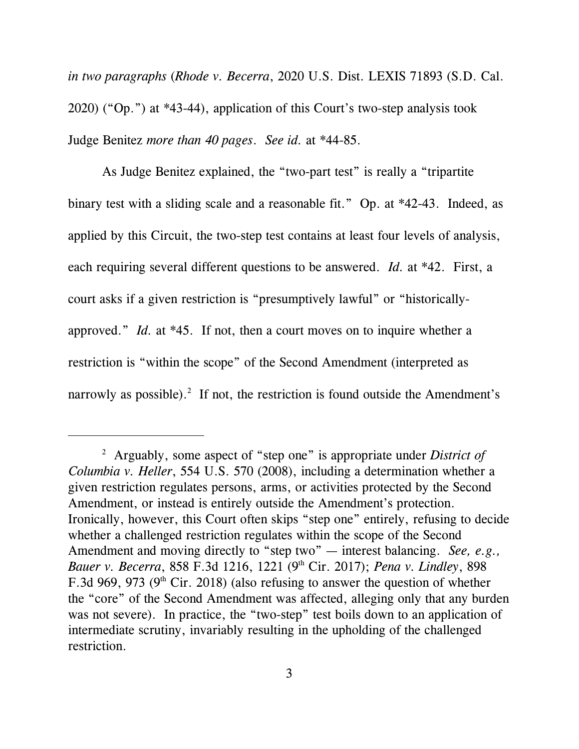*in two paragraphs* (*Rhode v. Becerra*, 2020 U.S. Dist. LEXIS 71893 (S.D. Cal. 2020) ("Op.") at \*43-44), application of this Court's two-step analysis took Judge Benitez *more than 40 pages*. *See id.* at \*44-85.

As Judge Benitez explained, the "two-part test" is really a "tripartite binary test with a sliding scale and a reasonable fit." Op. at \*42-43. Indeed, as applied by this Circuit, the two-step test contains at least four levels of analysis, each requiring several different questions to be answered. *Id.* at \*42. First, a court asks if a given restriction is "presumptively lawful" or "historicallyapproved." *Id.* at \*45. If not, then a court moves on to inquire whether a restriction is "within the scope" of the Second Amendment (interpreted as narrowly as possible).<sup>2</sup> If not, the restriction is found outside the Amendment's

<sup>2</sup> Arguably, some aspect of "step one" is appropriate under *District of Columbia v. Heller*, 554 U.S. 570 (2008), including a determination whether a given restriction regulates persons, arms, or activities protected by the Second Amendment, or instead is entirely outside the Amendment's protection. Ironically, however, this Court often skips "step one" entirely, refusing to decide whether a challenged restriction regulates within the scope of the Second Amendment and moving directly to "step two" — interest balancing. *See, e.g., Bauer v. Becerra*, 858 F.3d 1216, 1221 (9th Cir. 2017); *Pena v. Lindley*, 898 F.3d 969, 973 (9<sup>th</sup> Cir. 2018) (also refusing to answer the question of whether the "core" of the Second Amendment was affected, alleging only that any burden was not severe). In practice, the "two-step" test boils down to an application of intermediate scrutiny, invariably resulting in the upholding of the challenged restriction.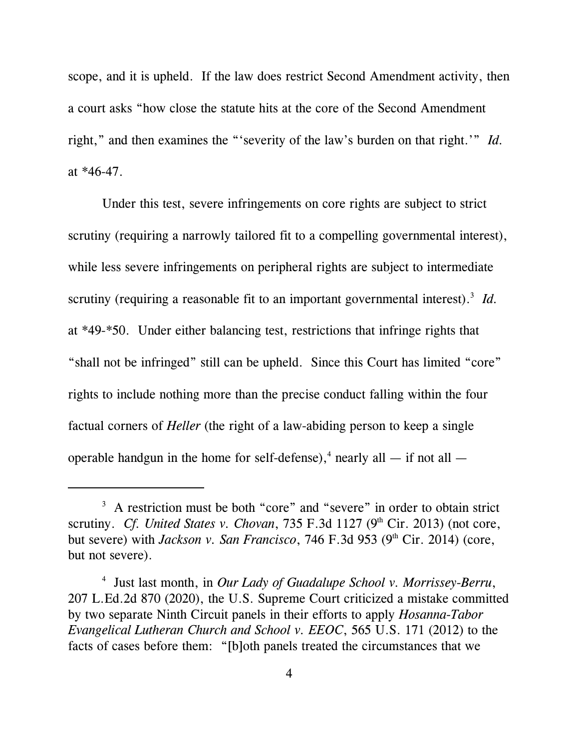scope, and it is upheld. If the law does restrict Second Amendment activity, then a court asks "how close the statute hits at the core of the Second Amendment right," and then examines the "'severity of the law's burden on that right.'" *Id.* at \*46-47.

Under this test, severe infringements on core rights are subject to strict scrutiny (requiring a narrowly tailored fit to a compelling governmental interest), while less severe infringements on peripheral rights are subject to intermediate scrutiny (requiring a reasonable fit to an important governmental interest).<sup>3</sup> Id. at \*49-\*50. Under either balancing test, restrictions that infringe rights that "shall not be infringed" still can be upheld. Since this Court has limited "core" rights to include nothing more than the precise conduct falling within the four factual corners of *Heller* (the right of a law-abiding person to keep a single operable handgun in the home for self-defense),<sup>4</sup> nearly all  $-$  if not all  $-$ 

<sup>&</sup>lt;sup>3</sup> A restriction must be both "core" and "severe" in order to obtain strict scrutiny. *Cf. United States v. Chovan*, 735 F.3d 1127 ( $9<sup>th</sup> Cir. 2013$ ) (not core, but severe) with *Jackson v. San Francisco*, 746 F.3d 953 (9<sup>th</sup> Cir. 2014) (core, but not severe).

<sup>4</sup> Just last month, in *Our Lady of Guadalupe School v. Morrissey-Berru*, 207 L.Ed.2d 870 (2020), the U.S. Supreme Court criticized a mistake committed by two separate Ninth Circuit panels in their efforts to apply *Hosanna-Tabor Evangelical Lutheran Church and School v. EEOC*, 565 U.S. 171 (2012) to the facts of cases before them: "[b]oth panels treated the circumstances that we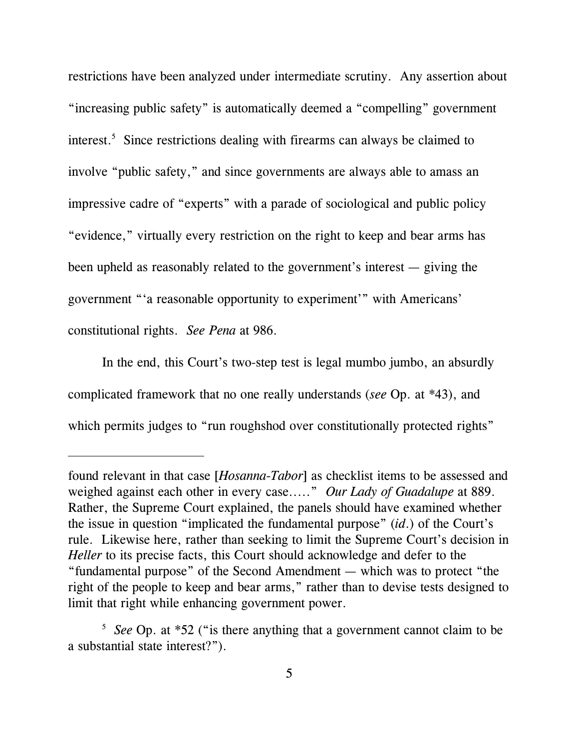restrictions have been analyzed under intermediate scrutiny. Any assertion about "increasing public safety" is automatically deemed a "compelling" government interest.<sup>5</sup> Since restrictions dealing with firearms can always be claimed to involve "public safety," and since governments are always able to amass an impressive cadre of "experts" with a parade of sociological and public policy "evidence," virtually every restriction on the right to keep and bear arms has been upheld as reasonably related to the government's interest — giving the government "'a reasonable opportunity to experiment'" with Americans' constitutional rights. *See Pena* at 986.

In the end, this Court's two-step test is legal mumbo jumbo, an absurdly complicated framework that no one really understands (*see* Op. at \*43), and which permits judges to "run roughshod over constitutionally protected rights"

found relevant in that case [*Hosanna-Tabor*] as checklist items to be assessed and weighed against each other in every case....." *Our Lady of Guadalupe* at 889. Rather, the Supreme Court explained, the panels should have examined whether the issue in question "implicated the fundamental purpose" (*id*.) of the Court's rule. Likewise here, rather than seeking to limit the Supreme Court's decision in *Heller* to its precise facts, this Court should acknowledge and defer to the "fundamental purpose" of the Second Amendment — which was to protect "the right of the people to keep and bear arms," rather than to devise tests designed to limit that right while enhancing government power.

<sup>&</sup>lt;sup>5</sup> See Op. at \*52 ("is there anything that a government cannot claim to be a substantial state interest?").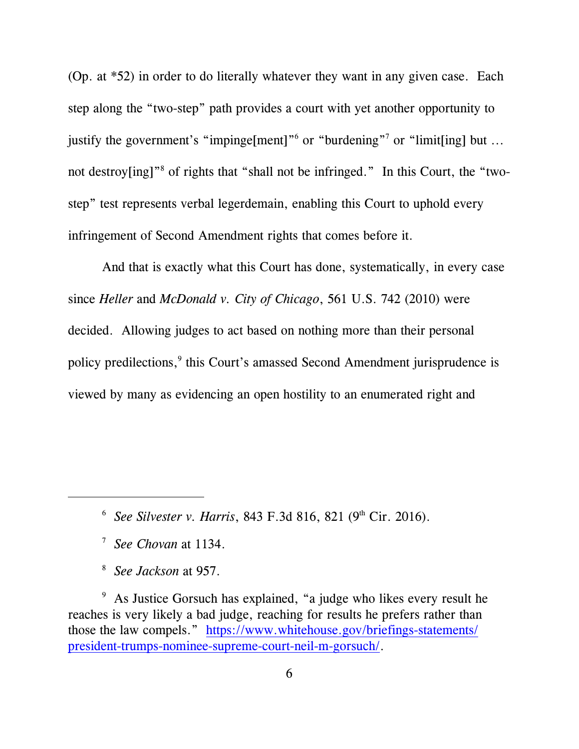(Op. at \*52) in order to do literally whatever they want in any given case. Each step along the "two-step" path provides a court with yet another opportunity to justify the government's "impinge[ment]"<sup>6</sup> or "burdening"<sup>7</sup> or "limit[ing] but ... not destroy[ing]"<sup>8</sup> of rights that "shall not be infringed." In this Court, the "twostep" test represents verbal legerdemain, enabling this Court to uphold every infringement of Second Amendment rights that comes before it.

And that is exactly what this Court has done, systematically, in every case since *Heller* and *McDonald v. City of Chicago*, 561 U.S. 742 (2010) were decided. Allowing judges to act based on nothing more than their personal policy predilections,<sup>9</sup> this Court's amassed Second Amendment jurisprudence is viewed by many as evidencing an open hostility to an enumerated right and

8 *See Jackson* at 957.

<sup>9</sup> As Justice Gorsuch has explained, "a judge who likes every result he reaches is very likely a bad judge, reaching for results he prefers rather than those the law compels." [https://www.whitehouse.gov/briefings-statements/](https://www.whitehouse.gov/briefings-statements/president-trumps-nominee-supreme-court-neil-m-gorsuch/) [president-trumps-nominee-supreme-court-neil-m-gorsuch/](https://www.whitehouse.gov/briefings-statements/president-trumps-nominee-supreme-court-neil-m-gorsuch/).

<sup>&</sup>lt;sup>6</sup> See Silvester *v. Harris*, 843 F.3d 816, 821 (9<sup>th</sup> Cir. 2016).

<sup>7</sup> *See Chovan* at 1134.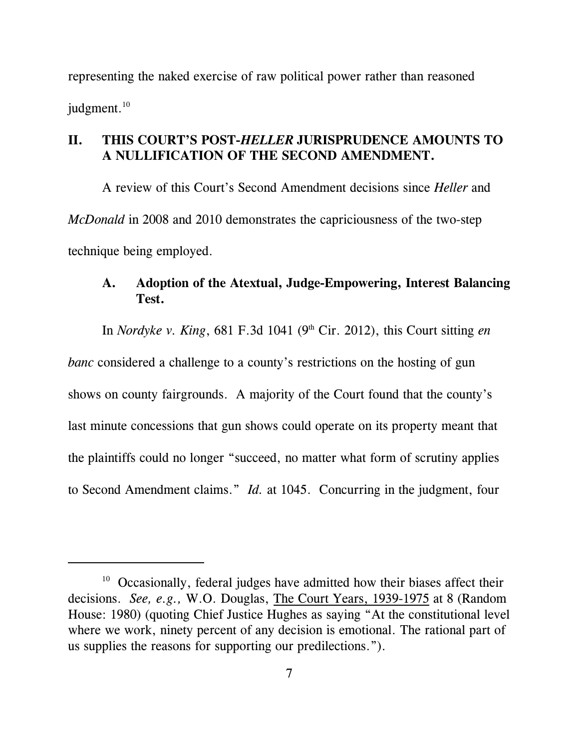representing the naked exercise of raw political power rather than reasoned judgment.<sup>10</sup>

### **II. THIS COURT'S POST-***HELLER* **JURISPRUDENCE AMOUNTS TO A NULLIFICATION OF THE SECOND AMENDMENT.**

A review of this Court's Second Amendment decisions since *Heller* and *McDonald* in 2008 and 2010 demonstrates the capriciousness of the two-step technique being employed.

### **A. Adoption of the Atextual, Judge-Empowering, Interest Balancing Test.**

In *Nordyke v. King*, 681 F.3d 1041 (9th Cir. 2012), this Court sitting *en banc* considered a challenge to a county's restrictions on the hosting of gun shows on county fairgrounds. A majority of the Court found that the county's last minute concessions that gun shows could operate on its property meant that the plaintiffs could no longer "succeed, no matter what form of scrutiny applies to Second Amendment claims." *Id.* at 1045. Concurring in the judgment, four

 $10$  Occasionally, federal judges have admitted how their biases affect their decisions. *See, e.g.,* W.O. Douglas, The Court Years, 1939-1975 at 8 (Random House: 1980) (quoting Chief Justice Hughes as saying "At the constitutional level where we work, ninety percent of any decision is emotional. The rational part of us supplies the reasons for supporting our predilections.").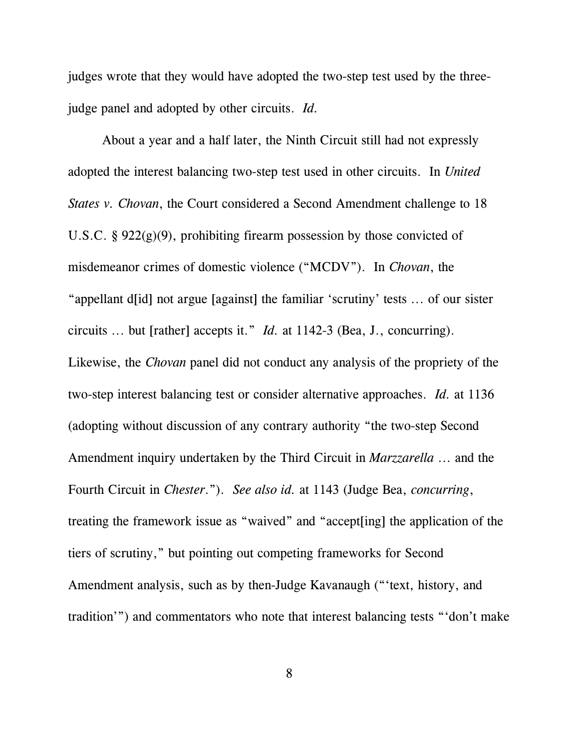judges wrote that they would have adopted the two-step test used by the threejudge panel and adopted by other circuits. *Id.*

About a year and a half later, the Ninth Circuit still had not expressly adopted the interest balancing two-step test used in other circuits. In *United States v. Chovan*, the Court considered a Second Amendment challenge to 18 U.S.C. §  $922(g)(9)$ , prohibiting firearm possession by those convicted of misdemeanor crimes of domestic violence ("MCDV"). In *Chovan*, the "appellant d[id] not argue [against] the familiar 'scrutiny' tests ... of our sister circuits ... but [rather] accepts it." *Id.* at 1142-3 (Bea, J., concurring). Likewise, the *Chovan* panel did not conduct any analysis of the propriety of the two-step interest balancing test or consider alternative approaches. *Id.* at 1136 (adopting without discussion of any contrary authority "the two-step Second Amendment inquiry undertaken by the Third Circuit in *Marzzarella* ... and the Fourth Circuit in *Chester*."). *See also id.* at 1143 (Judge Bea, *concurring*, treating the framework issue as "waived" and "accept[ing] the application of the tiers of scrutiny," but pointing out competing frameworks for Second Amendment analysis, such as by then-Judge Kavanaugh ("'text, history, and tradition'") and commentators who note that interest balancing tests "'don't make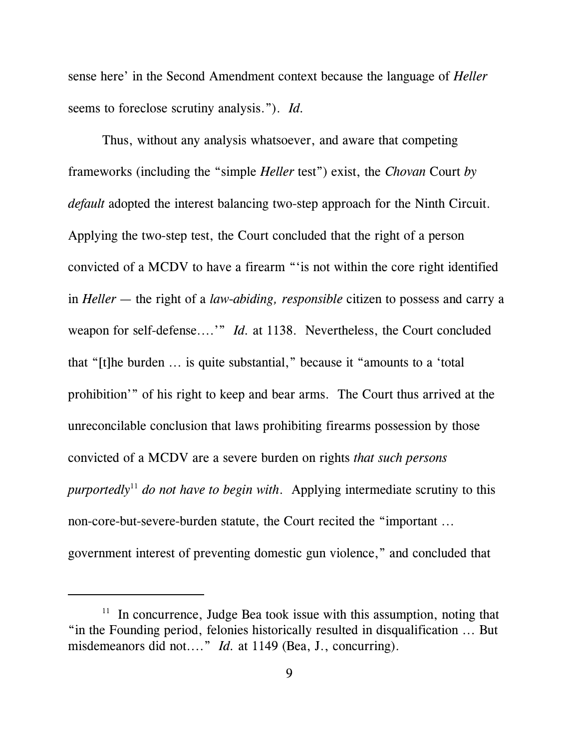sense here' in the Second Amendment context because the language of *Heller* seems to foreclose scrutiny analysis."). *Id.*

Thus, without any analysis whatsoever, and aware that competing frameworks (including the "simple *Heller* test") exist, the *Chovan* Court *by default* adopted the interest balancing two-step approach for the Ninth Circuit. Applying the two-step test, the Court concluded that the right of a person convicted of a MCDV to have a firearm "'is not within the core right identified in *Heller* — the right of a *law-abiding, responsible* citizen to possess and carry a weapon for self-defense....'" *Id.* at 1138. Nevertheless, the Court concluded that "[t]he burden ... is quite substantial," because it "amounts to a 'total prohibition'" of his right to keep and bear arms. The Court thus arrived at the unreconcilable conclusion that laws prohibiting firearms possession by those convicted of a MCDV are a severe burden on rights *that such persons purportedly*<sup>11</sup> *do not have to begin with*. Applying intermediate scrutiny to this non-core-but-severe-burden statute, the Court recited the "important ... government interest of preventing domestic gun violence," and concluded that

<sup>&</sup>lt;sup>11</sup> In concurrence, Judge Bea took issue with this assumption, noting that "in the Founding period, felonies historically resulted in disqualification ... But misdemeanors did not...." *Id.* at 1149 (Bea, J., concurring).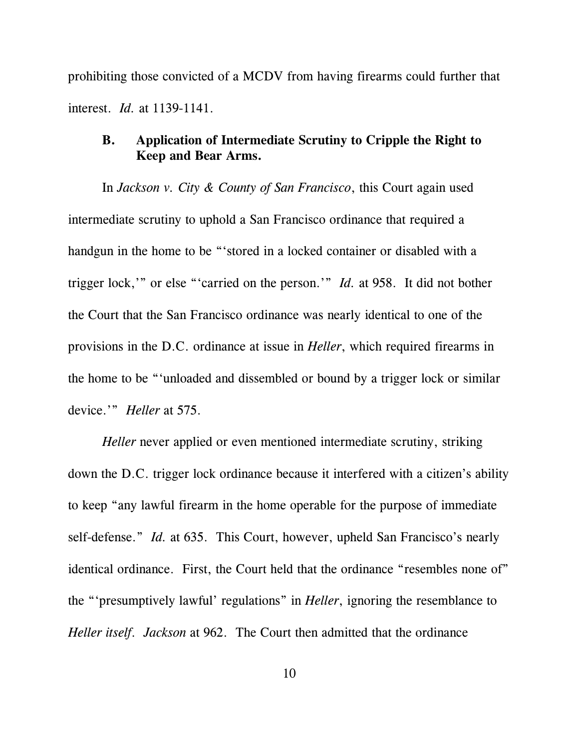prohibiting those convicted of a MCDV from having firearms could further that interest. *Id.* at 1139-1141.

### **B. Application of Intermediate Scrutiny to Cripple the Right to Keep and Bear Arms.**

In *Jackson v. City & County of San Francisco*, this Court again used intermediate scrutiny to uphold a San Francisco ordinance that required a handgun in the home to be "'stored in a locked container or disabled with a trigger lock,'" or else "'carried on the person.'" *Id.* at 958. It did not bother the Court that the San Francisco ordinance was nearly identical to one of the provisions in the D.C. ordinance at issue in *Heller*, which required firearms in the home to be "'unloaded and dissembled or bound by a trigger lock or similar device.'" *Heller* at 575.

*Heller* never applied or even mentioned intermediate scrutiny, striking down the D.C. trigger lock ordinance because it interfered with a citizen's ability to keep "any lawful firearm in the home operable for the purpose of immediate self-defense." *Id.* at 635. This Court, however, upheld San Francisco's nearly identical ordinance. First, the Court held that the ordinance "resembles none of" the "'presumptively lawful' regulations" in *Heller*, ignoring the resemblance to *Heller itself*. *Jackson* at 962. The Court then admitted that the ordinance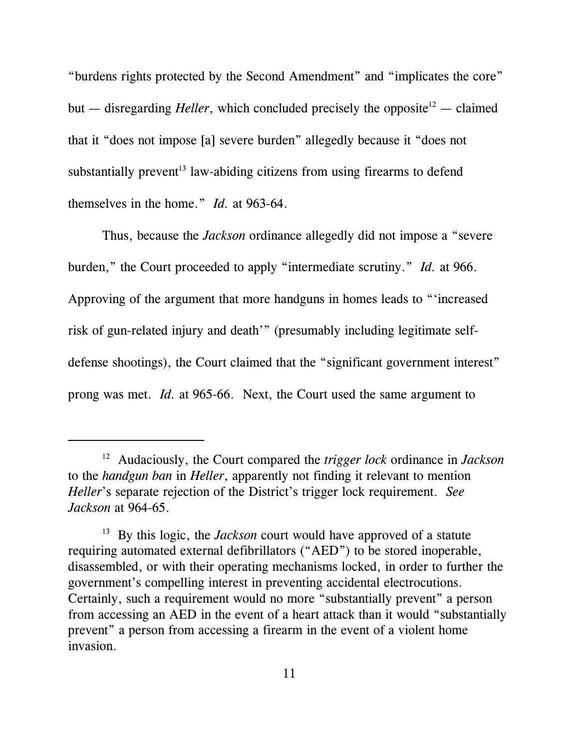"burdens rights protected by the Second Amendment" and "implicates the core" but — disregarding *Heller*, which concluded precisely the opposite<sup>12</sup> — claimed that it "does not impose [a] severe burden" allegedly because it "does not substantially prevent<sup>13</sup> law-abiding citizens from using firearms to defend themselves in the home." *Id.* at 963-64.

Thus, because the *Jackson* ordinance allegedly did not impose a "severe burden," the Court proceeded to apply "intermediate scrutiny." *Id.* at 966. Approving of the argument that more handguns in homes leads to "'increased risk of gun-related injury and death'" (presumably including legitimate selfdefense shootings), the Court claimed that the "significant government interest" prong was met. *Id.* at 965-66. Next, the Court used the same argument to

<sup>12</sup> Audaciously, the Court compared the *trigger lock* ordinance in *Jackson* to the *handgun ban* in *Heller*, apparently not finding it relevant to mention *Heller*'s separate rejection of the District's trigger lock requirement. *See Jackson* at 964-65.

<sup>&</sup>lt;sup>13</sup> By this logic, the *Jackson* court would have approved of a statute requiring automated external defibrillators ("AED") to be stored inoperable, disassembled, or with their operating mechanisms locked, in order to further the government's compelling interest in preventing accidental electrocutions. Certainly, such a requirement would no more "substantially prevent" a person from accessing an AED in the event of a heart attack than it would "substantially prevent" a person from accessing a firearm in the event of a violent home invasion.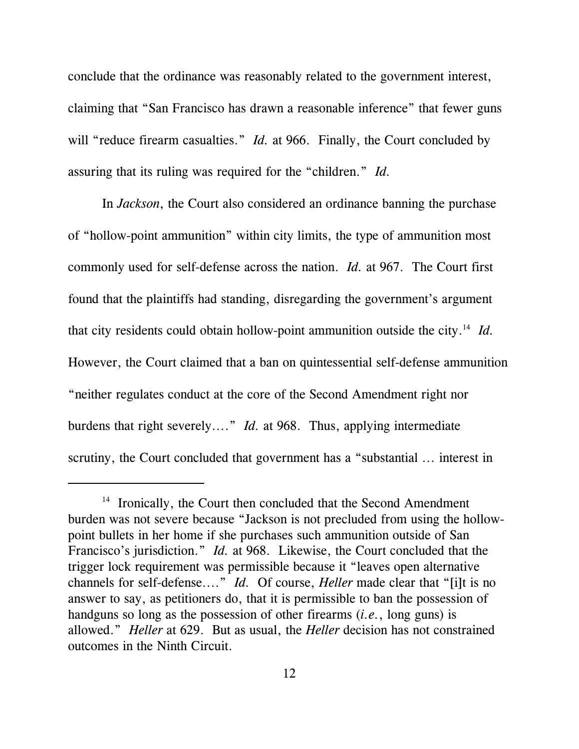conclude that the ordinance was reasonably related to the government interest, claiming that "San Francisco has drawn a reasonable inference" that fewer guns will "reduce firearm casualties." *Id.* at 966. Finally, the Court concluded by assuring that its ruling was required for the "children." *Id.*

In *Jackson*, the Court also considered an ordinance banning the purchase of "hollow-point ammunition" within city limits, the type of ammunition most commonly used for self-defense across the nation. *Id.* at 967. The Court first found that the plaintiffs had standing, disregarding the government's argument that city residents could obtain hollow-point ammunition outside the city.<sup>14</sup> *Id.* However, the Court claimed that a ban on quintessential self-defense ammunition "neither regulates conduct at the core of the Second Amendment right nor burdens that right severely...." *Id.* at 968. Thus, applying intermediate scrutiny, the Court concluded that government has a "substantial ... interest in

<sup>&</sup>lt;sup>14</sup> Ironically, the Court then concluded that the Second Amendment burden was not severe because "Jackson is not precluded from using the hollowpoint bullets in her home if she purchases such ammunition outside of San Francisco's jurisdiction." *Id.* at 968. Likewise, the Court concluded that the trigger lock requirement was permissible because it "leaves open alternative channels for self-defense...." *Id.* Of course, *Heller* made clear that "[i]t is no answer to say, as petitioners do, that it is permissible to ban the possession of handguns so long as the possession of other firearms (*i.e.*, long guns) is allowed." *Heller* at 629. But as usual, the *Heller* decision has not constrained outcomes in the Ninth Circuit.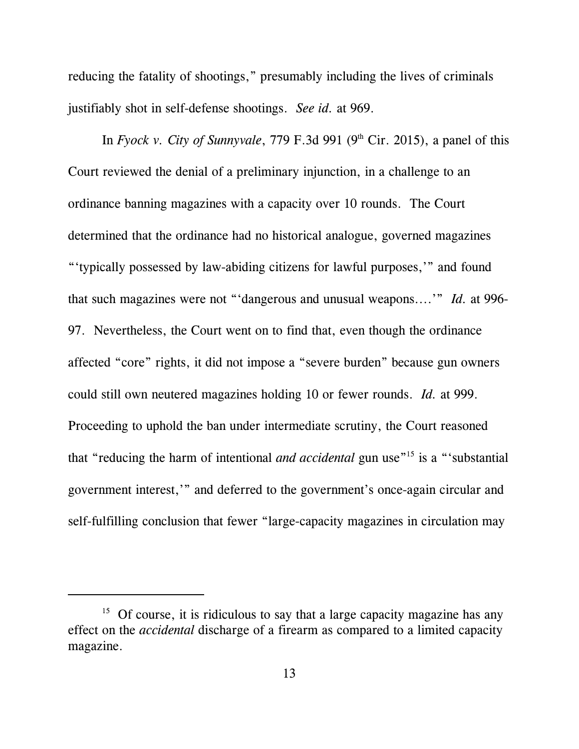reducing the fatality of shootings," presumably including the lives of criminals justifiably shot in self-defense shootings. *See id.* at 969.

In *Fyock v. City of Sunnyvale*, 779 F.3d 991 (9<sup>th</sup> Cir. 2015), a panel of this Court reviewed the denial of a preliminary injunction, in a challenge to an ordinance banning magazines with a capacity over 10 rounds. The Court determined that the ordinance had no historical analogue, governed magazines "'typically possessed by law-abiding citizens for lawful purposes,'" and found that such magazines were not "'dangerous and unusual weapons....'" *Id.* at 996- 97. Nevertheless, the Court went on to find that, even though the ordinance affected "core" rights, it did not impose a "severe burden" because gun owners could still own neutered magazines holding 10 or fewer rounds. *Id.* at 999. Proceeding to uphold the ban under intermediate scrutiny, the Court reasoned that "reducing the harm of intentional *and accidental* gun use"<sup>15</sup> is a "'substantial government interest,'" and deferred to the government's once-again circular and self-fulfilling conclusion that fewer "large-capacity magazines in circulation may

<sup>&</sup>lt;sup>15</sup> Of course, it is ridiculous to say that a large capacity magazine has any effect on the *accidental* discharge of a firearm as compared to a limited capacity magazine.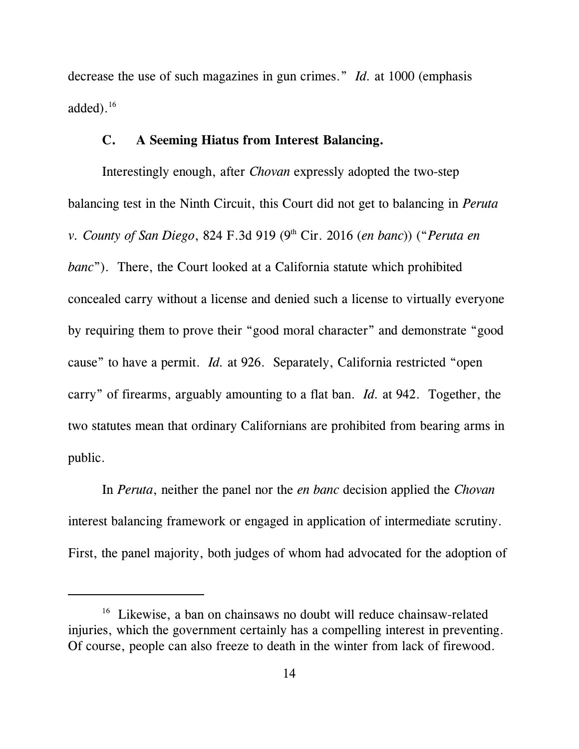decrease the use of such magazines in gun crimes." *Id.* at 1000 (emphasis added). $16$ 

#### **C. A Seeming Hiatus from Interest Balancing.**

Interestingly enough, after *Chovan* expressly adopted the two-step balancing test in the Ninth Circuit, this Court did not get to balancing in *Peruta v. County of San Diego, 824 F.3d 919 (9<sup>th</sup> Cir. 2016 (en banc)) ("Peruta en banc*"). There, the Court looked at a California statute which prohibited concealed carry without a license and denied such a license to virtually everyone by requiring them to prove their "good moral character" and demonstrate "good cause" to have a permit. *Id.* at 926. Separately, California restricted "open carry" of firearms, arguably amounting to a flat ban. *Id.* at 942. Together, the two statutes mean that ordinary Californians are prohibited from bearing arms in public.

In *Peruta*, neither the panel nor the *en banc* decision applied the *Chovan* interest balancing framework or engaged in application of intermediate scrutiny. First, the panel majority, both judges of whom had advocated for the adoption of

<sup>&</sup>lt;sup>16</sup> Likewise, a ban on chainsaws no doubt will reduce chainsaw-related injuries, which the government certainly has a compelling interest in preventing. Of course, people can also freeze to death in the winter from lack of firewood.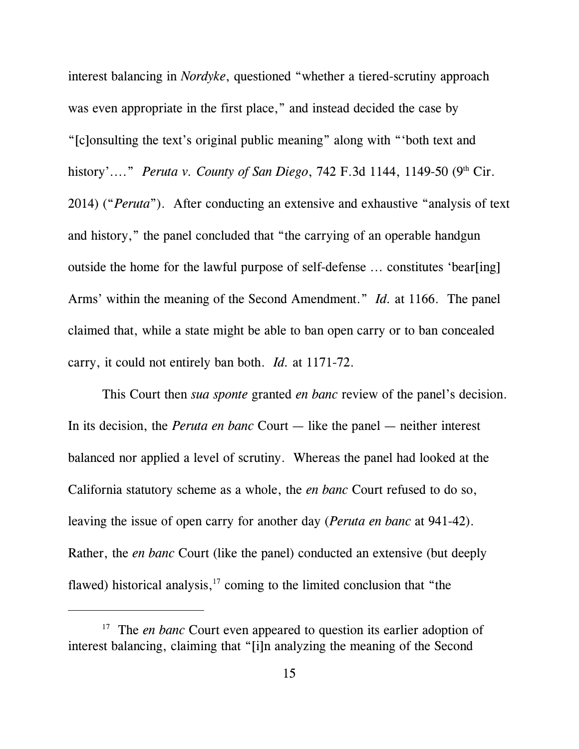interest balancing in *Nordyke*, questioned "whether a tiered-scrutiny approach was even appropriate in the first place," and instead decided the case by "[c]onsulting the text's original public meaning" along with "'both text and history'...." *Peruta v. County of San Diego*, 742 F.3d 1144, 1149-50 (9<sup>th</sup> Cir. 2014) ("*Peruta*"). After conducting an extensive and exhaustive "analysis of text and history," the panel concluded that "the carrying of an operable handgun outside the home for the lawful purpose of self-defense ... constitutes 'bear[ing] Arms' within the meaning of the Second Amendment." *Id.* at 1166. The panel claimed that, while a state might be able to ban open carry or to ban concealed carry, it could not entirely ban both. *Id.* at 1171-72.

This Court then *sua sponte* granted *en banc* review of the panel's decision. In its decision, the *Peruta en banc* Court — like the panel — neither interest balanced nor applied a level of scrutiny. Whereas the panel had looked at the California statutory scheme as a whole, the *en banc* Court refused to do so, leaving the issue of open carry for another day (*Peruta en banc* at 941-42). Rather, the *en banc* Court (like the panel) conducted an extensive (but deeply flawed) historical analysis, $17$  coming to the limited conclusion that "the

<sup>&</sup>lt;sup>17</sup> The *en banc* Court even appeared to question its earlier adoption of interest balancing, claiming that "[i]n analyzing the meaning of the Second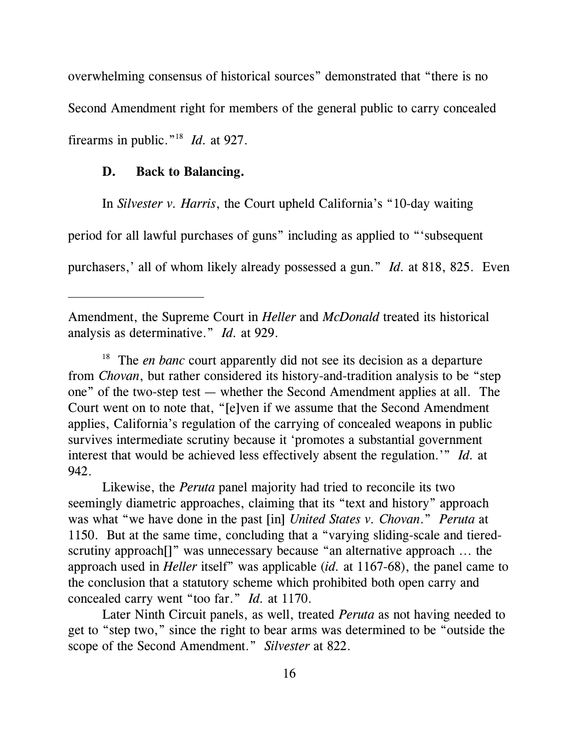overwhelming consensus of historical sources" demonstrated that "there is no Second Amendment right for members of the general public to carry concealed firearms in public."<sup>18</sup>  *Id.* at 927.

#### **D. Back to Balancing.**

In *Silvester v. Harris*, the Court upheld California's "10-day waiting

period for all lawful purchases of guns" including as applied to "'subsequent

purchasers,' all of whom likely already possessed a gun." *Id.* at 818, 825. Even

<sup>18</sup> The *en banc* court apparently did not see its decision as a departure from *Chovan*, but rather considered its history-and-tradition analysis to be "step one" of the two-step test — whether the Second Amendment applies at all. The Court went on to note that, "[e]ven if we assume that the Second Amendment applies, California's regulation of the carrying of concealed weapons in public survives intermediate scrutiny because it 'promotes a substantial government interest that would be achieved less effectively absent the regulation.'" *Id.* at 942.

Likewise, the *Peruta* panel majority had tried to reconcile its two seemingly diametric approaches, claiming that its "text and history" approach was what "we have done in the past [in] *United States v. Chovan*." *Peruta* at 1150. But at the same time, concluding that a "varying sliding-scale and tieredscrutiny approach[]" was unnecessary because "an alternative approach ... the approach used in *Heller* itself" was applicable (*id.* at 1167-68), the panel came to the conclusion that a statutory scheme which prohibited both open carry and concealed carry went "too far." *Id.* at 1170.

Later Ninth Circuit panels, as well, treated *Peruta* as not having needed to get to "step two," since the right to bear arms was determined to be "outside the scope of the Second Amendment." *Silvester* at 822.

Amendment, the Supreme Court in *Heller* and *McDonald* treated its historical analysis as determinative." *Id.* at 929.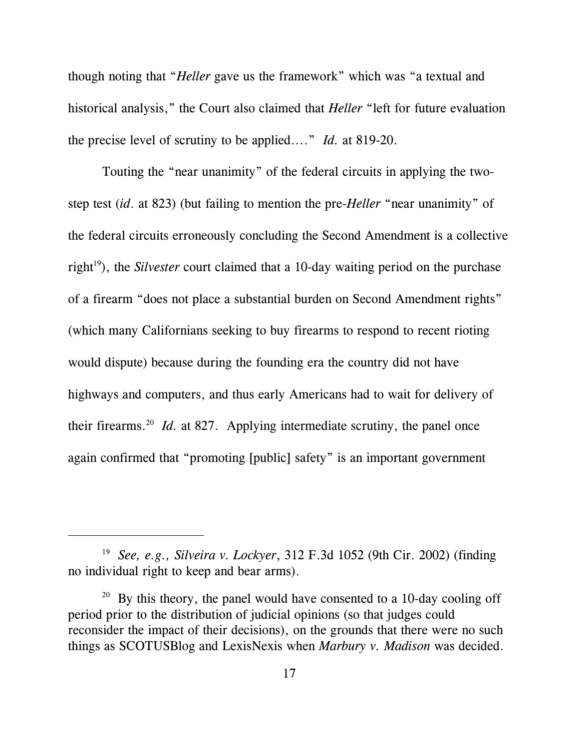though noting that "*Heller* gave us the framework" which was "a textual and historical analysis," the Court also claimed that *Heller* "left for future evaluation the precise level of scrutiny to be applied...." *Id.* at 819-20.

Touting the "near unanimity" of the federal circuits in applying the twostep test (*id*. at 823) (but failing to mention the pre-*Heller* "near unanimity" of the federal circuits erroneously concluding the Second Amendment is a collective right<sup>19</sup>), the *Silvester* court claimed that a 10-day waiting period on the purchase of a firearm "does not place a substantial burden on Second Amendment rights" (which many Californians seeking to buy firearms to respond to recent rioting would dispute) because during the founding era the country did not have highways and computers, and thus early Americans had to wait for delivery of their firearms.<sup>20</sup> *Id.* at 827. Applying intermediate scrutiny, the panel once again confirmed that "promoting [public] safety" is an important government

<sup>19</sup> *See, e.g., Silveira v. Lockyer*, 312 F.3d 1052 (9th Cir. 2002) (finding no individual right to keep and bear arms).

 $20$  By this theory, the panel would have consented to a 10-day cooling off period prior to the distribution of judicial opinions (so that judges could reconsider the impact of their decisions), on the grounds that there were no such things as SCOTUSBlog and LexisNexis when *Marbury v. Madison* was decided.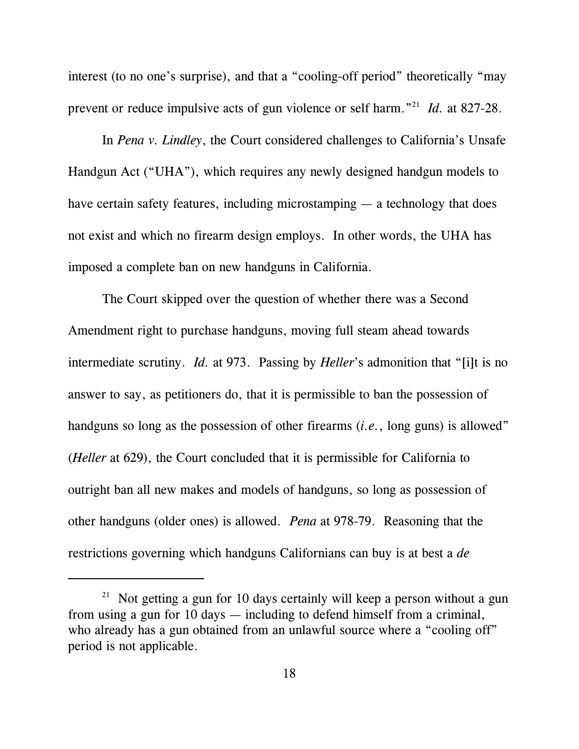interest (to no one's surprise), and that a "cooling-off period" theoretically "may prevent or reduce impulsive acts of gun violence or self harm."<sup>21</sup> *Id.* at 827-28.

In *Pena v. Lindley*, the Court considered challenges to California's Unsafe Handgun Act ("UHA"), which requires any newly designed handgun models to have certain safety features, including microstamping — a technology that does not exist and which no firearm design employs. In other words, the UHA has imposed a complete ban on new handguns in California.

The Court skipped over the question of whether there was a Second Amendment right to purchase handguns, moving full steam ahead towards intermediate scrutiny. *Id.* at 973. Passing by *Heller*'s admonition that "[i]t is no answer to say, as petitioners do, that it is permissible to ban the possession of handguns so long as the possession of other firearms (*i.e.*, long guns) is allowed" (*Heller* at 629), the Court concluded that it is permissible for California to outright ban all new makes and models of handguns, so long as possession of other handguns (older ones) is allowed. *Pena* at 978-79. Reasoning that the restrictions governing which handguns Californians can buy is at best a *de*

<sup>&</sup>lt;sup>21</sup> Not getting a gun for 10 days certainly will keep a person without a gun from using a gun for 10 days — including to defend himself from a criminal, who already has a gun obtained from an unlawful source where a "cooling off" period is not applicable.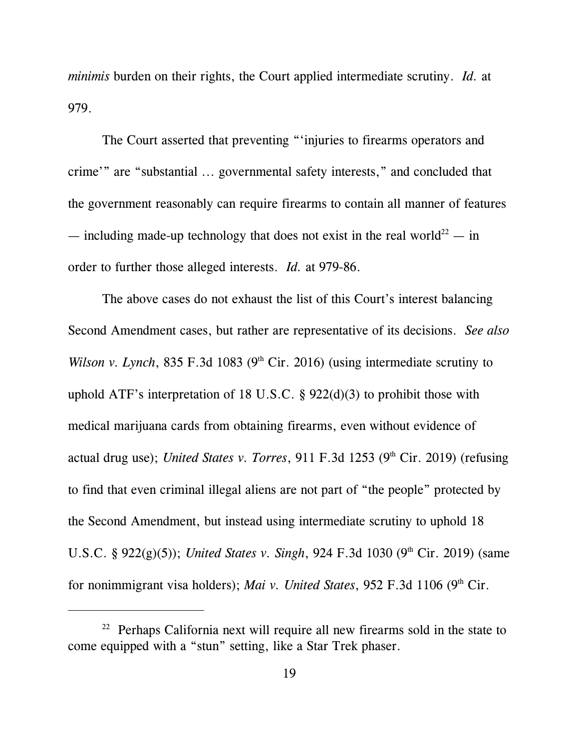*minimis* burden on their rights, the Court applied intermediate scrutiny. *Id.* at 979.

The Court asserted that preventing "'injuries to firearms operators and crime'" are "substantial ... governmental safety interests," and concluded that the government reasonably can require firearms to contain all manner of features — including made-up technology that does not exist in the real world<sup>22</sup> — in order to further those alleged interests. *Id.* at 979-86.

The above cases do not exhaust the list of this Court's interest balancing Second Amendment cases, but rather are representative of its decisions. *See also Wilson v. Lynch*, 835 F.3d 1083 ( $9<sup>th</sup>$  Cir. 2016) (using intermediate scrutiny to uphold ATF's interpretation of 18 U.S.C. § 922(d)(3) to prohibit those with medical marijuana cards from obtaining firearms, even without evidence of actual drug use); *United States v. Torres*, 911 F.3d 1253 (9<sup>th</sup> Cir. 2019) (refusing to find that even criminal illegal aliens are not part of "the people" protected by the Second Amendment, but instead using intermediate scrutiny to uphold 18 U.S.C. § 922(g)(5)); *United States v. Singh*, 924 F.3d 1030 (9<sup>th</sup> Cir. 2019) (same for nonimmigrant visa holders); *Mai v. United States*, 952 F.3d 1106 (9<sup>th</sup> Cir.

 $22$  Perhaps California next will require all new firearms sold in the state to come equipped with a "stun" setting, like a Star Trek phaser.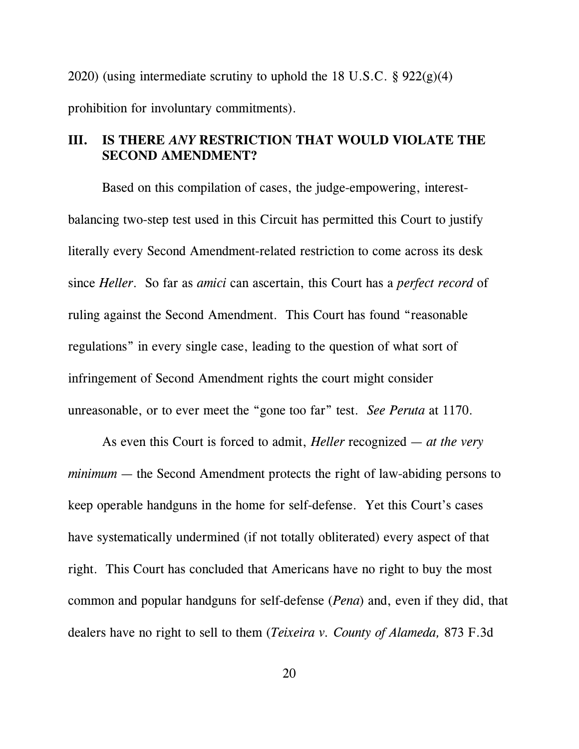2020) (using intermediate scrutiny to uphold the 18 U.S.C.  $\S 922(g)(4)$ prohibition for involuntary commitments).

### **III. IS THERE** *ANY* **RESTRICTION THAT WOULD VIOLATE THE SECOND AMENDMENT?**

Based on this compilation of cases, the judge-empowering, interestbalancing two-step test used in this Circuit has permitted this Court to justify literally every Second Amendment-related restriction to come across its desk since *Heller*. So far as *amici* can ascertain, this Court has a *perfect record* of ruling against the Second Amendment. This Court has found "reasonable regulations" in every single case, leading to the question of what sort of infringement of Second Amendment rights the court might consider unreasonable, or to ever meet the "gone too far" test. *See Peruta* at 1170.

As even this Court is forced to admit, *Heller* recognized — *at the very minimum* — the Second Amendment protects the right of law-abiding persons to keep operable handguns in the home for self-defense. Yet this Court's cases have systematically undermined (if not totally obliterated) every aspect of that right. This Court has concluded that Americans have no right to buy the most common and popular handguns for self-defense (*Pena*) and, even if they did, that dealers have no right to sell to them (*Teixeira v. County of Alameda,* 873 F.3d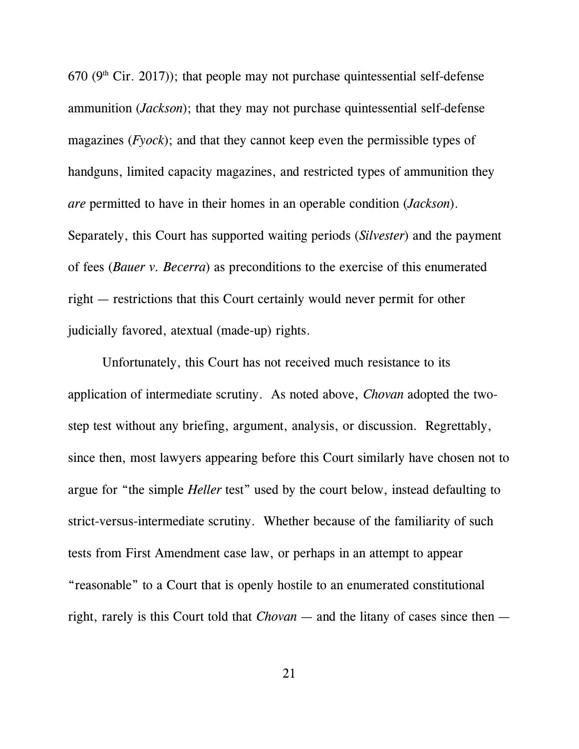670 ( $9<sup>th</sup>$  Cir. 2017)); that people may not purchase quintessential self-defense ammunition (*Jackson*); that they may not purchase quintessential self-defense magazines (*Fyock*); and that they cannot keep even the permissible types of handguns, limited capacity magazines, and restricted types of ammunition they *are* permitted to have in their homes in an operable condition (*Jackson*). Separately, this Court has supported waiting periods (*Silvester*) and the payment of fees (*Bauer v. Becerra*) as preconditions to the exercise of this enumerated right — restrictions that this Court certainly would never permit for other judicially favored, atextual (made-up) rights.

Unfortunately, this Court has not received much resistance to its application of intermediate scrutiny. As noted above, *Chovan* adopted the twostep test without any briefing, argument, analysis, or discussion. Regrettably, since then, most lawyers appearing before this Court similarly have chosen not to argue for "the simple *Heller* test" used by the court below, instead defaulting to strict-versus-intermediate scrutiny. Whether because of the familiarity of such tests from First Amendment case law, or perhaps in an attempt to appear "reasonable" to a Court that is openly hostile to an enumerated constitutional right, rarely is this Court told that *Chovan* — and the litany of cases since then —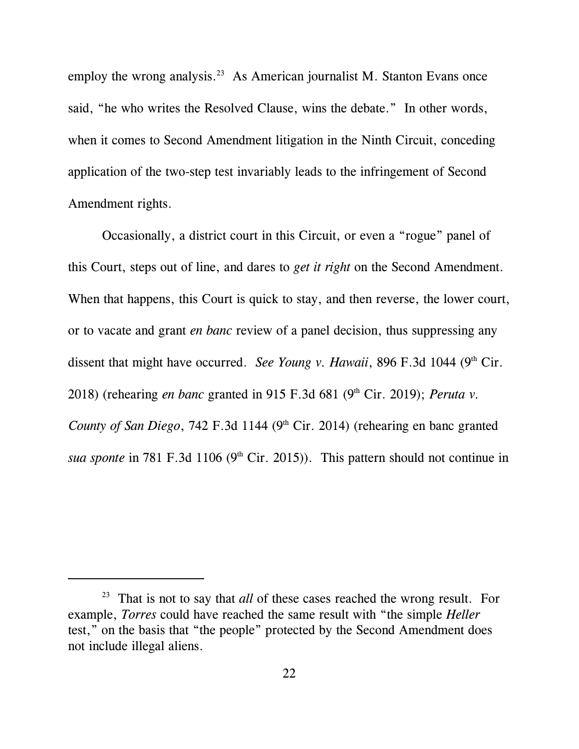employ the wrong analysis.<sup>23</sup> As American journalist M. Stanton Evans once said, "he who writes the Resolved Clause, wins the debate." In other words, when it comes to Second Amendment litigation in the Ninth Circuit, conceding application of the two-step test invariably leads to the infringement of Second Amendment rights.

Occasionally, a district court in this Circuit, or even a "rogue" panel of this Court, steps out of line, and dares to *get it right* on the Second Amendment. When that happens, this Court is quick to stay, and then reverse, the lower court, or to vacate and grant *en banc* review of a panel decision, thus suppressing any dissent that might have occurred. *See Young v. Hawaii*, 896 F.3d 1044 (9<sup>th</sup> Cir. 2018) (rehearing *en banc* granted in 915 F.3d 681 (9<sup>th</sup> Cir. 2019); *Peruta v. County of San Diego*, 742 F.3d 1144 (9<sup>th</sup> Cir. 2014) (rehearing en banc granted *sua sponte* in 781 F.3d 1106 ( $9<sup>th</sup>$  Cir. 2015)). This pattern should not continue in

<sup>23</sup> That is not to say that *all* of these cases reached the wrong result. For example, *Torres* could have reached the same result with "the simple *Heller* test," on the basis that "the people" protected by the Second Amendment does not include illegal aliens.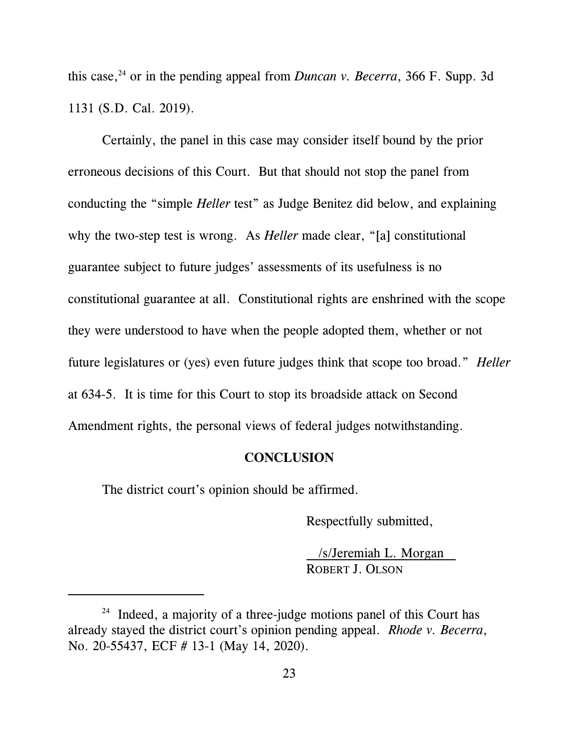this case, 24 or in the pending appeal from *Duncan v. Becerra*, 366 F. Supp. 3d 1131 (S.D. Cal. 2019).

Certainly, the panel in this case may consider itself bound by the prior erroneous decisions of this Court. But that should not stop the panel from conducting the "simple *Heller* test" as Judge Benitez did below, and explaining why the two-step test is wrong. As *Heller* made clear, "[a] constitutional guarantee subject to future judges' assessments of its usefulness is no constitutional guarantee at all. Constitutional rights are enshrined with the scope they were understood to have when the people adopted them, whether or not future legislatures or (yes) even future judges think that scope too broad." *Heller* at 634-5. It is time for this Court to stop its broadside attack on Second Amendment rights, the personal views of federal judges notwithstanding.

#### **CONCLUSION**

The district court's opinion should be affirmed.

Respectfully submitted,

/s/Jeremiah L. Morgan ROBERT J. OLSON

<sup>&</sup>lt;sup>24</sup> Indeed, a majority of a three-judge motions panel of this Court has already stayed the district court's opinion pending appeal. *Rhode v. Becerra*, No. 20-55437, ECF # 13-1 (May 14, 2020).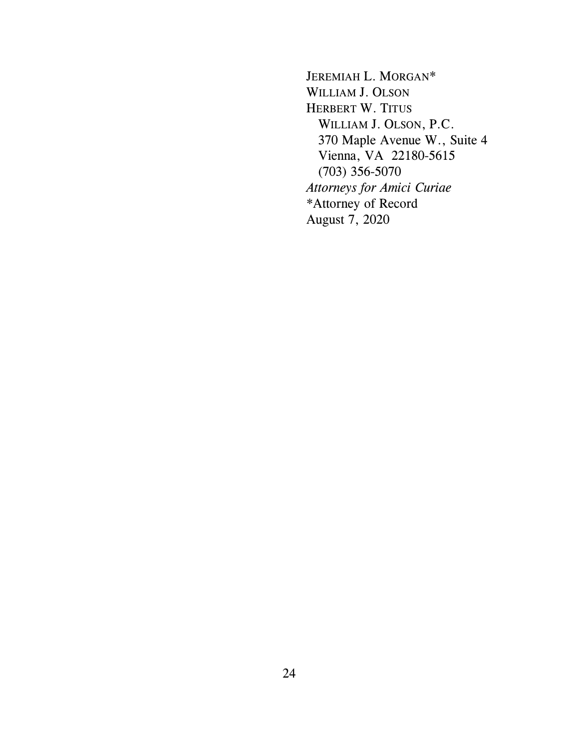JEREMIAH L. MORGAN\* WILLIAM J. OLSON HERBERT W. TITUS WILLIAM J. OLSON, P.C. 370 Maple Avenue W., Suite 4 Vienna, VA 22180-5615 (703) 356-5070 *Attorneys for Amici Curiae* \*Attorney of Record August 7, 2020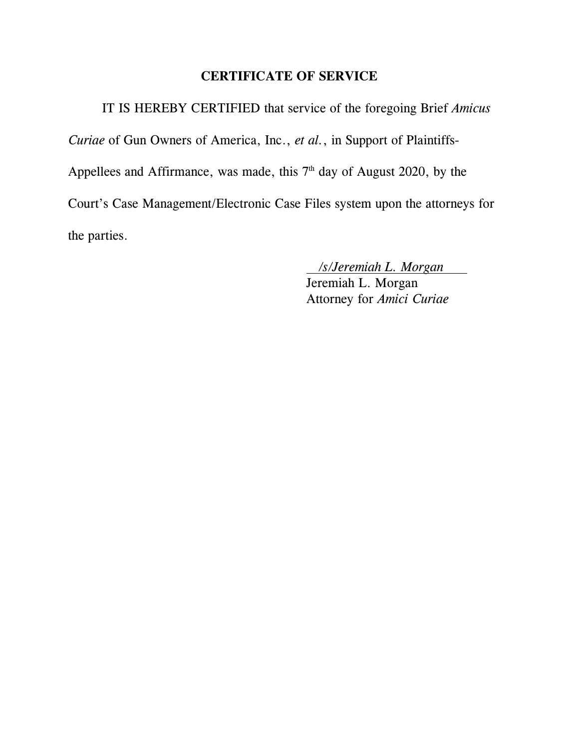### **CERTIFICATE OF SERVICE**

IT IS HEREBY CERTIFIED that service of the foregoing Brief *Amicus Curiae* of Gun Owners of America, Inc., *et al.*, in Support of Plaintiffs-Appellees and Affirmance, was made, this  $7<sup>th</sup>$  day of August 2020, by the Court's Case Management/Electronic Case Files system upon the attorneys for the parties.

*/s/Jeremiah L. Morgan*

Jeremiah L. Morgan Attorney for *Amici Curiae*